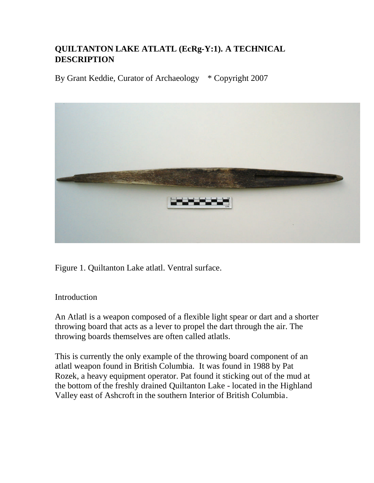## **QUILTANTON LAKE ATLATL (EcRg-Y:1). A TECHNICAL DESCRIPTION**

By Grant Keddie, Curator of Archaeology  $*$  Copyright 2007



Figure 1. Quiltanton Lake atlatl. Ventral surface.

## Introduction

An Atlatl is a weapon composed of a flexible light spear or dart and a shorter throwing board that acts as a lever to propel the dart through the air. The throwing boards themselves are often called atlatls.

This is currently the only example of the throwing board component of an atlatl weapon found in British Columbia. It was found in 1988 by Pat Rozek, a heavy equipment operator. Pat found it sticking out of the mud at the bottom of the freshly drained Quiltanton Lake - located in the Highland Valley east of Ashcroft in the southern Interior of British Columbia.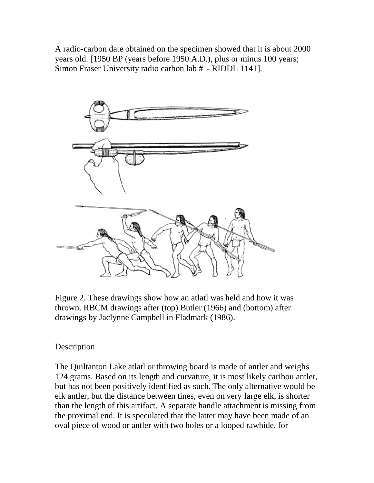A radio-carbon date obtained on the specimen showed that it is about 2000 years old. [1950 BP (years before 1950 A.D.), plus or minus 100 years; Simon Fraser University radio carbon lab # - RIDDL 1141].



Figure 2. These drawings show how an atlatl was held and how it was thrown. RBCM drawings after (top) Butler (1966) and (bottom) after drawings by Jaclynne Campbell in Fladmark (1986).

## Description

The Quiltanton Lake atlatl or throwing board is made of antler and weighs 124 grams. Based on its length and curvature, it is most likely caribou antler, but has not been positively identified as such. The only alternative would be elk antler, but the distance between tines, even on very large elk, is shorter than the length of this artifact. A separate handle attachment is missing from the proximal end. It is speculated that the latter may have been made of an oval piece of wood or antler with two holes or a looped rawhide, for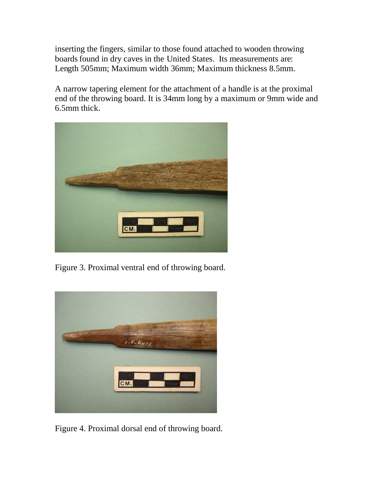inserting the fingers, similar to those found attached to wooden throwing boards found in dry caves in the United States. Its measurements are: Length 505mm; Maximum width 36mm; Maximum thickness 8.5mm.

A narrow tapering element for the attachment of a handle is at the proximal end of the throwing board. It is 34mm long by a maximum or 9mm wide and 6.5mm thick.



Figure 3. Proximal ventral end of throwing board.



Figure 4. Proximal dorsal end of throwing board.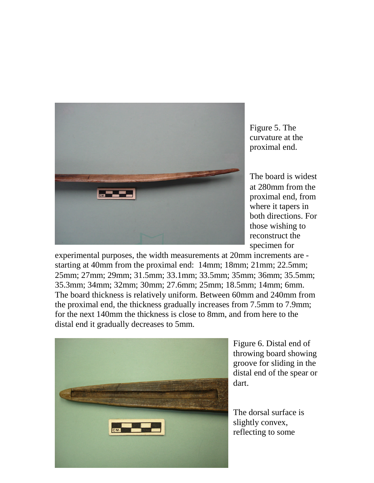

Figure 5. The curvature at the proximal end.

The board is widest at 280mm from the proximal end, from where it tapers in both directions. For those wishing to reconstruct the specimen for

experimental purposes, the width measurements at 20mm increments are starting at 40mm from the proximal end: 14mm; 18mm; 21mm; 22.5mm; 25mm; 27mm; 29mm; 31.5mm; 33.1mm; 33.5mm; 35mm; 36mm; 35.5mm; 35.3mm; 34mm; 32mm; 30mm; 27.6mm; 25mm; 18.5mm; 14mm; 6mm. The board thickness is relatively uniform. Between 60mm and 240mm from the proximal end, the thickness gradually increases from 7.5mm to 7.9mm; for the next 140mm the thickness is close to 8mm, and from here to the distal end it gradually decreases to 5mm.



Figure 6. Distal end of throwing board showing groove for sliding in the distal end of the spear or dart.

The dorsal surface is slightly convex, reflecting to some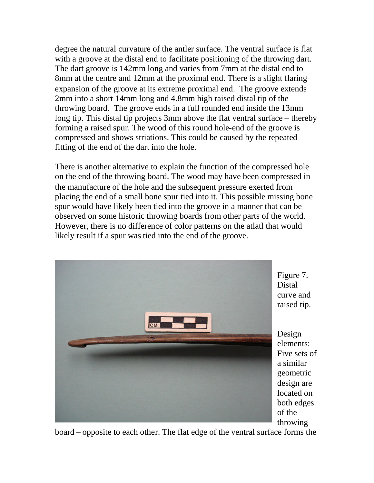degree the natural curvature of the antler surface. The ventral surface is flat with a groove at the distal end to facilitate positioning of the throwing dart. The dart groove is 142mm long and varies from 7mm at the distal end to 8mm at the centre and 12mm at the proximal end. There is a slight flaring expansion of the groove at its extreme proximal end. The groove extends 2mm into a short 14mm long and 4.8mm high raised distal tip of the throwing board. The groove ends in a full rounded end inside the 13mm long tip. This distal tip projects 3mm above the flat ventral surface – thereby forming a raised spur. The wood of this round hole-end of the groove is compressed and shows striations. This could be caused by the repeated fitting of the end of the dart into the hole.

There is another alternative to explain the function of the compressed hole on the end of the throwing board. The wood may have been compressed in the manufacture of the hole and the subsequent pressure exerted from placing the end of a small bone spur tied into it. This possible missing bone spur would have likely been tied into the groove in a manner that can be observed on some historic throwing boards from other parts of the world. However, there is no difference of color patterns on the atlatl that would likely result if a spur was tied into the end of the groove.



board – opposite to each other. The flat edge of the ventral surface forms the